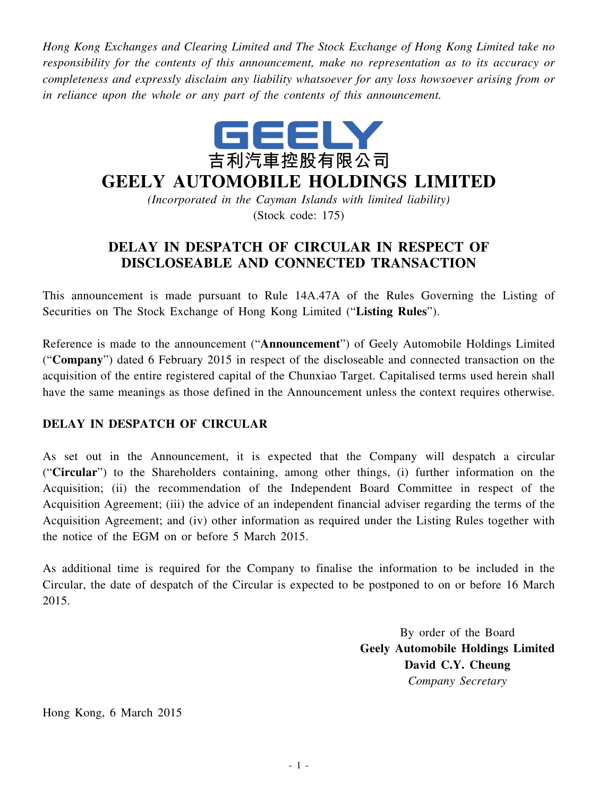*Hong Kong Exchanges and Clearing Limited and The Stock Exchange of Hong Kong Limited take no responsibility for the contents of this announcement, make no representation as to its accuracy or completeness and expressly disclaim any liability whatsoever for any loss howsoever arising from or in reliance upon the whole or any part of the contents of this announcement.*



## **GEELY AUTOMOBILE HOLDINGS LIMITED**

*(Incorporated in the Cayman Islands with limited liability)* (Stock code: 175)

## **DELAY IN DESPATCH OF CIRCULAR IN RESPECT OF DISCLOSEABLE AND CONNECTED TRANSACTION**

This announcement is made pursuant to Rule 14A.47A of the Rules Governing the Listing of Securities on The Stock Exchange of Hong Kong Limited ("**Listing Rules**").

Reference is made to the announcement ("**Announcement**") of Geely Automobile Holdings Limited ("**Company**") dated 6 February 2015 in respect of the discloseable and connected transaction on the acquisition of the entire registered capital of the Chunxiao Target. Capitalised terms used herein shall have the same meanings as those defined in the Announcement unless the context requires otherwise.

## **DELAY IN DESPATCH OF CIRCULAR**

As set out in the Announcement, it is expected that the Company will despatch a circular ("**Circular**") to the Shareholders containing, among other things, (i) further information on the Acquisition; (ii) the recommendation of the Independent Board Committee in respect of the Acquisition Agreement; (iii) the advice of an independent financial adviser regarding the terms of the Acquisition Agreement; and (iv) other information as required under the Listing Rules together with the notice of the EGM on or before 5 March 2015.

As additional time is required for the Company to finalise the information to be included in the Circular, the date of despatch of the Circular is expected to be postponed to on or before 16 March 2015.

> By order of the Board **Geely Automobile Holdings Limited David C.Y. Cheung** *Company Secretary*

Hong Kong, 6 March 2015